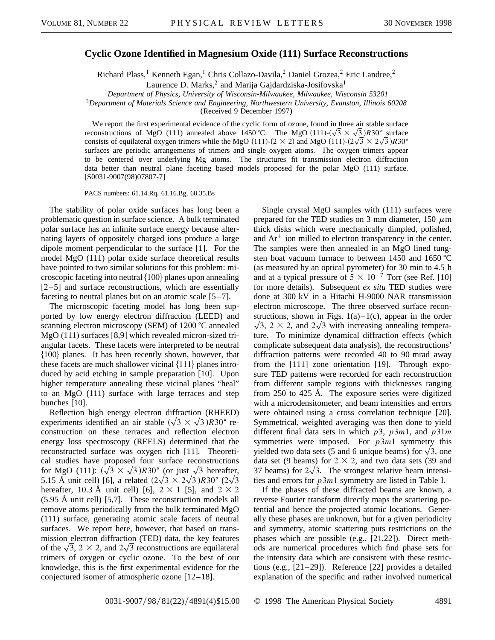## **Cyclic Ozone Identified in Magnesium Oxide (111) Surface Reconstructions**

Richard Plass,<sup>1</sup> Kenneth Egan,<sup>1</sup> Chris Collazo-Davila,<sup>2</sup> Daniel Grozea,<sup>2</sup> Eric Landree,<sup>2</sup>

Laurence D. Marks,<sup>2</sup> and Marija Gajdardziska-Josifovska<sup>1</sup>

<sup>1</sup>*Department of Physics, University of Wisconsin-Milwaukee, Milwaukee, Wisconsin 53201*

<sup>2</sup>*Department of Materials Science and Engineering, Northwestern University, Evanston, Illinois 60208*

(Received 9 December 1997)

We report the first experimental evidence of the cyclic form of ozone, found in three  $\alpha$  stable surface We report the first experimental evidence of the cyclic form of ozone, found in three air stable surface<br>reconstructions of MgO (111) annealed above 1450 °C. The MgO (111)- $(\sqrt{3} \times \sqrt{3})$ R30° surface consists of equilateral oxygen trimers while the MgO (111)-(2  $\times$  2) and MgO (111)-(2 $\sqrt{3}$   $\times$  2 $\sqrt{3}$ )R30<sup>o</sup> surfaces are periodic arrangements of trimers and single oxygen atoms. The oxygen trimers appear to be centered over underlying Mg atoms. The structures fit transmission electron diffraction data better than neutral plane faceting based models proposed for the polar MgO (111) surface. [S0031-9007(98)07807-7]

PACS numbers: 61.14.Rq, 61.16.Bg, 68.35.Bs

The stability of polar oxide surfaces has long been a problematic question in surface science. A bulk terminated polar surface has an infinite surface energy because alternating layers of oppositely charged ions produce a large dipole moment perpendicular to the surface [1]. For the model MgO (111) polar oxide surface theoretical results have pointed to two similar solutions for this problem: microscopic faceting into neutral  $\{100\}$  planes upon annealing [2–5] and surface reconstructions, which are essentially faceting to neutral planes but on an atomic scale [5–7].

The microscopic faceting model has long been supported by low energy electron diffraction (LEED) and scanning electron microscopy (SEM) of  $1200 \degree C$  annealed MgO (111) surfaces [8,9] which revealed micron-sized triangular facets. These facets were interpreted to be neutral  ${100}$  planes. It has been recently shown, however, that these facets are much shallower vicinal  $\{111\}$  planes introduced by acid etching in sample preparation [10]. Upon higher temperature annealing these vicinal planes "heal" to an MgO (111) surface with large terraces and step bunches [10].

Reflection high energy electron diffraction (RHEED) Reflection high energy electron diffraction (RHEED)<br>experiments identified an air stable  $(\sqrt{3} \times \sqrt{3})R30^{\circ}$  reconstruction on these terraces and reflection electron energy loss spectroscopy (REELS) determined that the reconstructed surface was oxygen rich [11]. Theoretical studies have proposed four surface reconstructions cal studies have proposed four surface reconstructions<br>for MgO (111):  $(\sqrt{3} \times \sqrt{3})R30^{\circ}$  (or just  $\sqrt{3}$  hereafter, 5.15 Å unit cell) [6], a related  $(2\sqrt{3} \times 2\sqrt{3})R30^{\circ} (2\sqrt{3})$ hereafter, 10.3 Å unit cell) [6],  $2 \times 1$  [5], and  $2 \times 2$ (5.95 Å unit cell) [5,7]. These reconstruction models all remove atoms periodically from the bulk terminated MgO (111) surface, generating atomic scale facets of neutral surfaces. We report here, however, that based on transmission electron diffraction (TED) data, the key features mission electron diffraction (TED) data, the key features<br>of the  $\sqrt{3}$ ,  $2 \times 2$ , and  $2\sqrt{3}$  reconstructions are equilateral trimers of oxygen or cyclic ozone. To the best of our knowledge, this is the first experimental evidence for the conjectured isomer of atmospheric ozone [12–18].

Single crystal MgO samples with (111) surfaces were prepared for the TED studies on 3 mm diameter, 150  $\mu$ m thick disks which were mechanically dimpled, polished, and  $Ar^+$  ion milled to electron transparency in the center. The samples were then annealed in an MgO lined tungsten boat vacuum furnace to between  $1450$  and  $1650$  °C (as measured by an optical pyrometer) for 30 min to 4.5 h and at a typical pressure of  $5 \times 10^{-7}$  Torr (see Ref. [10] for more details). Subsequent *ex situ* TED studies were done at 300 kV in a Hitachi H-9000 NAR transmission electron microscope. The three observed surface reconstructions, shown in Figs. 1(a)–1(c), appear in the order 3, 2  $\times$  2, and 2 $\sqrt{3}$  with increasing annealing temperature. To minimize dynamical diffraction effects (which complicate subsequent data analysis), the reconstructions' diffraction patterns were recorded 40 to 90 mrad away from the [111] zone orientation [19]. Through exposure TED patterns were recorded for each reconstruction from different sample regions with thicknesses ranging from 250 to 425 Å. The exposure series were digitized with a microdensitometer, and beam intensities and errors were obtained using a cross correlation technique [20]. Symmetrical, weighted averaging was then done to yield different final data sets in which *p*3, *p*3*m*1, and *p*31*m* symmetries were imposed. For *p*3*m*1 symmetry this symmetries were imposed. For  $p3m1$  symmetry this yielded two data sets (5 and 6 unique beams) for  $\sqrt{3}$ , one data set (9 beams) for  $2 \times 2$ , and two data sets (39 and 37 beams) for  $2\sqrt{3}$ . The strongest relative beam intensities and errors for *p*3*m*1 symmetry are listed in Table I.

If the phases of these diffracted beams are known, a reverse Fourier transform directly maps the scattering potential and hence the projected atomic locations. Generally these phases are unknown, but for a given periodicity and symmetry, atomic scattering puts restrictions on the phases which are possible (e.g., [21,22]). Direct methods are numerical procedures which find phase sets for the intensity data which are consistent with these restrictions (e.g., [21–29]). Reference [22] provides a detailed explanation of the specific and rather involved numerical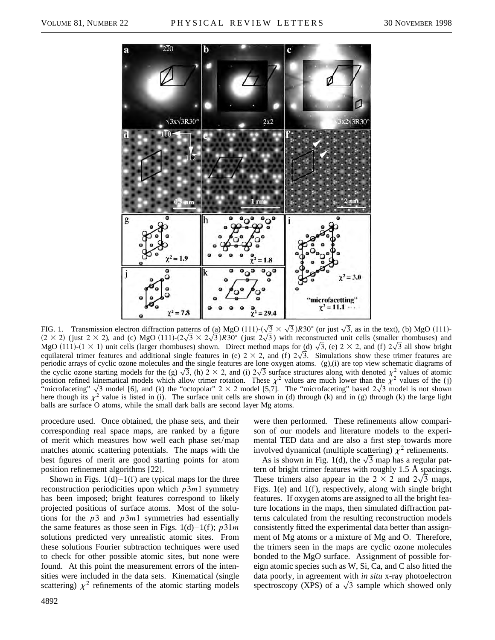

FIG. 1. Transmission electron diffraction patterns of (a)  $MgO(111)$ -( tterns of <u>(a)</u> MgO (111)- $(\sqrt{3} \times \sqrt{3})R30^{\circ}$  (or just  $\sqrt{3}$ , as in the text), (b) MgO (111)- $(2 \times 2)$  (just 2 × 2), and (c) MgO  $(111)$ - $(2\sqrt{3} \times 2\sqrt{3})R30^\circ$  (just 2 $\sqrt{3}$ ) with reconstructed unit cells (smaller rhombuses) and  $(2 \times 2)$  (just  $2 \times 2$ ), and (c) MgO (111)- $(2\sqrt{3} \times 2\sqrt{3})R30^{\circ}$  (just  $2\sqrt{3}$ ) with reconstructed unit cells (smaller rhombuses) and MgO (111)- $(1 \times 1)$  unit cells (larger rhombuses) shown. Direct method maps for equilateral trimer features and additional single features in (e)  $2 \times 2$ , and (f)  $2\sqrt{3}$ . Simulations show these trimer features are periodic arrays of cyclic ozone molecules and the single features are lone oxygen atoms. (g),(i) are top view schematic diagrams of periodic arrays of cyclic ozone molecules and the single features are lone oxygen atoms. (g),(i) are top view schematic diagrams of the cyclic ozone starting models for the (g)  $\sqrt{3}$ , (h)  $2 \times 2$ , and (i)  $2\sqrt{3}$  surfa position refined kinematical models which allow trimer rotation. These  $\chi^2$  values are much lower than the  $\chi^2$  values of the (j) "microfaceting"  $\sqrt{3}$  model [6], and (k) the "octopolar"  $2 \times 2$  model [5,7]. The "mi  $\mathfrak{m}$ 3 model is not shown here though its  $\chi^2$  value is listed in (i). The surface unit cells are shown in (d) through (k) and in (g) through (k) the large light balls are surface O atoms, while the small dark balls are second layer Mg atoms.

procedure used. Once obtained, the phase sets, and their corresponding real space maps, are ranked by a figure of merit which measures how well each phase set/map matches atomic scattering potentials. The maps with the best figures of merit are good starting points for atom position refinement algorithms [22].

Shown in Figs.  $1(d)-1(f)$  are typical maps for the three reconstruction periodicities upon which *p*3*m*1 symmetry has been imposed; bright features correspond to likely projected positions of surface atoms. Most of the solutions for the *p*3 and *p*3*m*1 symmetries had essentially the same features as those seen in Figs.  $1(d)-1(f)$ ;  $p31m$ solutions predicted very unrealistic atomic sites. From these solutions Fourier subtraction techniques were used to check for other possible atomic sites, but none were found. At this point the measurement errors of the intensities were included in the data sets. Kinematical (single scattering)  $\chi^2$  refinements of the atomic starting models were then performed. These refinements allow comparison of our models and literature models to the experimental TED data and are also a first step towards more involved dynamical (multiple scattering)  $\chi^2$  refinements.

volved dynamical (multiple scattering)  $\chi^2$  refinements.<br>As is shown in Fig. 1(d), the  $\sqrt{3}$  map has a regular pattern of bright trimer features with roughly 1.5 Å spacings. p These trimers also appear in the  $2 \times 2$  and  $2\sqrt{3}$  maps, Figs. 1(e) and 1(f), respectively, along with single bright features. If oxygen atoms are assigned to all the bright feature locations in the maps, then simulated diffraction patterns calculated from the resulting reconstruction models consistently fitted the experimental data better than assignment of Mg atoms or a mixture of Mg and O. Therefore, the trimers seen in the maps are cyclic ozone molecules bonded to the MgO surface. Assignment of possible foreign atomic species such as W, Si, Ca, and C also fitted the data poorly, in agreement with *in situ* x-ray photoelectron data poorly, in agreement with *in situ* x-ray photoelectron<br>spectroscopy (XPS) of a  $\sqrt{3}$  sample which showed only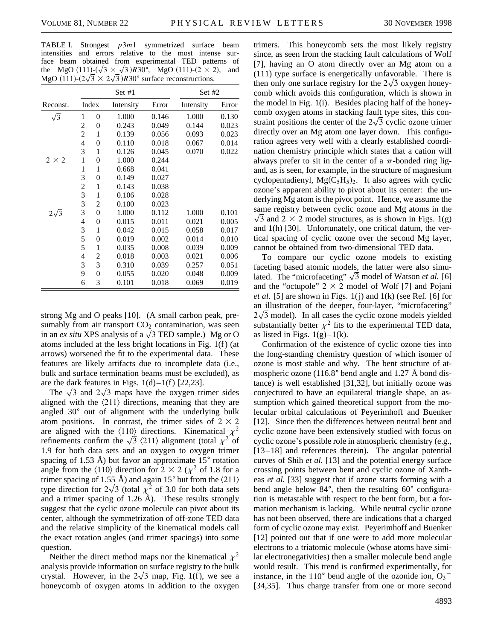TABLE I. Strongest *p*3*m*1 symmetrized surface beam intensities and errors relative to the most intense surface beam obtained from experimental TED patterns of face beam obtained from experimental TED patterns of<br>the MgO  $(111)$ - $(\sqrt{3} \times \sqrt{3})$  $R30^{\circ}$ , MgO  $(111)$ - $(2 \times 2)$ , and MgO (111)- $(2\sqrt{3} \times 2\sqrt{3})R30^\circ$  surface reconstructions.

|              |       |                  | Set #1    | Set $#2$ |           |       |
|--------------|-------|------------------|-----------|----------|-----------|-------|
| Reconst.     | Index |                  | Intensity | Error    | Intensity | Error |
| $\sqrt{3}$   | 1     | 0                | 1.000     | 0.146    | 1.000     | 0.130 |
|              | 2     | 0                | 0.243     | 0.049    | 0.144     | 0.023 |
|              | 2     | 1                | 0.139     | 0.056    | 0.093     | 0.023 |
|              | 4     | 0                | 0.110     | 0.018    | 0.067     | 0.014 |
|              | 3     | 1                | 0.126     | 0.045    | 0.070     | 0.022 |
| $2 \times 2$ | 1     | 0                | 1.000     | 0.244    |           |       |
|              | 1     | 1                | 0.668     | 0.041    |           |       |
|              | 3     | 0                | 0.149     | 0.027    |           |       |
|              | 2     | 1                | 0.143     | 0.038    |           |       |
|              | 3     | 1                | 0.106     | 0.028    |           |       |
|              | 3     | 2                | 0.100     | 0.023    |           |       |
| $2\sqrt{3}$  | 3     | 0                | 1.000     | 0.112    | 1.000     | 0.101 |
|              | 4     | $\boldsymbol{0}$ | 0.015     | 0.011    | 0.021     | 0.005 |
|              | 3     | 1                | 0.042     | 0.015    | 0.058     | 0.017 |
|              | 5     | 0                | 0.019     | 0.002    | 0.014     | 0.010 |
|              | 5     | 1                | 0.035     | 0.008    | 0.039     | 0.009 |
|              | 4     | 2                | 0.018     | 0.003    | 0.021     | 0.006 |
|              | 3     | 3                | 0.310     | 0.039    | 0.257     | 0.051 |
|              | 9     | 0                | 0.055     | 0.020    | 0.048     | 0.009 |
|              | 6     | 3                | 0.101     | 0.018    | 0.069     | 0.019 |

strong Mg and O peaks [10]. (A small carbon peak, presumably from air transport  $CO<sub>2</sub>$  contamination, was seen sumably from air transport  $CO_2$  contamination, was seen<br>in an *ex situ* XPS analysis of a  $\sqrt{3}$  TED sample.) Mg or O atoms included at the less bright locations in Fig. 1(f ) (at arrows) worsened the fit to the experimental data. These features are likely artifacts due to incomplete data (i.e., bulk and surface termination beams must be excluded), as are the dark features in Figs.  $1(d)-1(f)$  [22,23].

the dark features in Figs.  $1(d) - 1(f)$  [22,23].<br>The  $\sqrt{3}$  and  $2\sqrt{3}$  maps have the oxygen trimer sides aligned with the  $\langle 211 \rangle$  directions, meaning that they are angled  $30^{\circ}$  out of alignment with the underlying bulk atom positions. In contrast, the trimer sides of  $2 \times 2$ are aligned with the  $\langle 110 \rangle$  directions. Kinematical  $\chi^2$ are aligned with the  $\langle 110 \rangle$  directions. Kinematical  $\chi^2$  of refinements confirm the  $\sqrt{3}$   $\langle 211 \rangle$  alignment (total  $\chi^2$  of 1.9 for both data sets and an oxygen to oxygen trimer spacing of 1.53 Å) but favor an approximate  $15^{\circ}$  rotation angle from the  $\langle 110 \rangle$  direction for 2  $\times$  2 ( $\chi^2$  of 1.8 for a trimer spacing of 1.55 Å) and again 15 $^{\circ}$  but from the  $\langle 211 \rangle$ type direction for  $2\sqrt{3}$  (total  $\chi^2$  of 3.0 for both data sets and a trimer spacing of 1.26 Å). These results strongly suggest that the cyclic ozone molecule can pivot about its center, although the symmetrization of off-zone TED data and the relative simplicity of the kinematical models call the exact rotation angles (and trimer spacings) into some question.

Neither the direct method maps nor the kinematical  $\chi^2$ analysis provide information on surface registry to the bulk crystal. However, in the  $2\sqrt{3}$  map, Fig. 1(f), we see a honeycomb of oxygen atoms in addition to the oxygen

trimers. This honeycomb sets the most likely registry since, as seen from the stacking fault calculations of Wolf [7], having an O atom directly over an Mg atom on a  $(111)$  type surface is energetically unfavorable. There is then only one surface registry for the  $2\sqrt{3}$  oxygen honeycomb which avoids this configuration, which is shown in the model in Fig. 1(i). Besides placing half of the honeycomb oxygen atoms in stacking fault type sites, this constraint positions the center of the  $2\sqrt{3}$  cyclic ozone trimer directly over an Mg atom one layer down. This configuration agrees very well with a clearly established coordination chemistry principle which states that a cation will always prefer to sit in the center of a  $\pi$ -bonded ring ligand, as is seen, for example, in the structure of magnesium cyclopentadienyl,  $Mg(C_5H_5)_2$ . It also agrees with cyclic ozone's apparent ability to pivot about its center: the underlying Mg atom is the pivot point. Hence, we assume the same registry between cyclic ozone and Mg atoms in the  $\sqrt{3}$  and 2  $\times$  2 model structures, as is shown in Figs. 1(g) and 1(h) [30]. Unfortunately, one critical datum, the vertical spacing of cyclic ozone over the second Mg layer, cannot be obtained from two-dimensional TED data.

To compare our cyclic ozone models to existing faceting based atomic models, the latter were also simutaceting based atomic models, the latter were also simu-<br>lated. The "microfaceting"  $\sqrt{3}$  model of Watson *et al.* [6] and the "octupole"  $2 \times 2$  model of Wolf [7] and Pojani *et al.* [5] are shown in Figs. 1(j) and 1(k) (see Ref. [6] for an illustration of the deeper, four-layer, "microfaceting"  $2\sqrt{3}$  model). In all cases the cyclic ozone models yielded substantially better  $\chi^2$  fits to the experimental TED data, as listed in Figs.  $1(g)-1(k)$ .

Confirmation of the existence of cyclic ozone ties into the long-standing chemistry question of which isomer of ozone is most stable and why. The bent structure of atmospheric ozone (116.8 $\degree$  bend angle and 1.27 Å bond distance) is well established [31,32], but initially ozone was conjectured to have an equilateral triangle shape, an assumption which gained theoretical support from the molecular orbital calculations of Peyerimhoff and Buenker [12]. Since then the differences between neutral bent and cyclic ozone have been extensively studied with focus on cyclic ozone's possible role in atmospheric chemistry (e.g., [13–18] and references therein). The angular potential curves of Shih *et al.* [13] and the potential energy surface crossing points between bent and cyclic ozone of Xantheas *et al.* [33] suggest that if ozone starts forming with a bend angle below  $84^{\circ}$ , then the resulting  $60^{\circ}$  configuration is metastable with respect to the bent form, but a formation mechanism is lacking. While neutral cyclic ozone has not been observed, there are indications that a charged form of cyclic ozone may exist. Peyerimhoff and Buenker [12] pointed out that if one were to add more molecular electrons to a triatomic molecule (whose atoms have similar electronegativities) then a smaller molecule bend angle would result. This trend is confirmed experimentally, for instance, in the 110 $^{\circ}$  bend angle of the ozonide ion,  $O_3$ <sup>-</sup> [34,35]. Thus charge transfer from one or more second